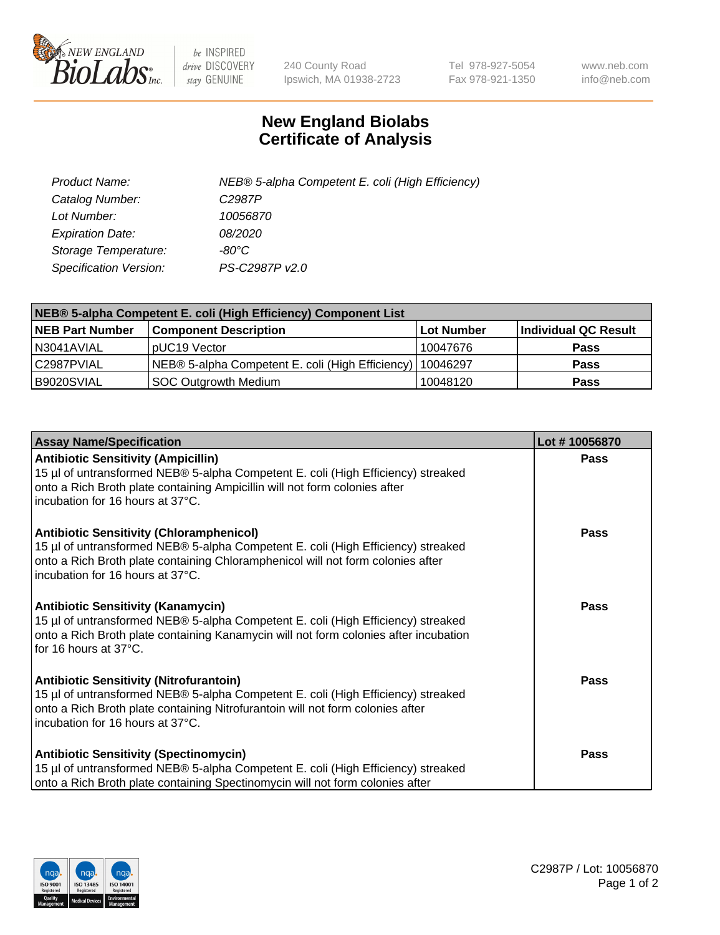

 $be$  INSPIRED drive DISCOVERY stay GENUINE

240 County Road Ipswich, MA 01938-2723 Tel 978-927-5054 Fax 978-921-1350 www.neb.com info@neb.com

## **New England Biolabs Certificate of Analysis**

| Product Name:                 | NEB® 5-alpha Competent E. coli (High Efficiency) |
|-------------------------------|--------------------------------------------------|
| Catalog Number:               | C <sub>2987</sub> P                              |
| Lot Number:                   | 10056870                                         |
| <b>Expiration Date:</b>       | <i>08/2020</i>                                   |
| Storage Temperature:          | -80°C                                            |
| <b>Specification Version:</b> | PS-C2987P v2.0                                   |

| NEB® 5-alpha Competent E. coli (High Efficiency) Component List |                                                             |            |                      |  |
|-----------------------------------------------------------------|-------------------------------------------------------------|------------|----------------------|--|
| <b>NEB Part Number</b>                                          | <b>Component Description</b>                                | Lot Number | Individual QC Result |  |
| N3041AVIAL                                                      | pUC19 Vector                                                | 10047676   | <b>Pass</b>          |  |
| C2987PVIAL                                                      | NEB® 5-alpha Competent E. coli (High Efficiency)   10046297 |            | <b>Pass</b>          |  |
| B9020SVIAL                                                      | <b>SOC Outgrowth Medium</b>                                 | 10048120   | <b>Pass</b>          |  |

| <b>Assay Name/Specification</b>                                                                                                                                                                                                                            | Lot #10056870 |
|------------------------------------------------------------------------------------------------------------------------------------------------------------------------------------------------------------------------------------------------------------|---------------|
| <b>Antibiotic Sensitivity (Ampicillin)</b><br>15 µl of untransformed NEB® 5-alpha Competent E. coli (High Efficiency) streaked<br>onto a Rich Broth plate containing Ampicillin will not form colonies after<br>incubation for 16 hours at 37°C.           | Pass          |
| <b>Antibiotic Sensitivity (Chloramphenicol)</b><br>15 µl of untransformed NEB® 5-alpha Competent E. coli (High Efficiency) streaked<br>onto a Rich Broth plate containing Chloramphenicol will not form colonies after<br>incubation for 16 hours at 37°C. | Pass          |
| Antibiotic Sensitivity (Kanamycin)<br>15 µl of untransformed NEB® 5-alpha Competent E. coli (High Efficiency) streaked<br>onto a Rich Broth plate containing Kanamycin will not form colonies after incubation<br>for 16 hours at 37°C.                    | Pass          |
| <b>Antibiotic Sensitivity (Nitrofurantoin)</b><br>15 µl of untransformed NEB® 5-alpha Competent E. coli (High Efficiency) streaked<br>onto a Rich Broth plate containing Nitrofurantoin will not form colonies after<br>incubation for 16 hours at 37°C.   | <b>Pass</b>   |
| <b>Antibiotic Sensitivity (Spectinomycin)</b><br>15 µl of untransformed NEB® 5-alpha Competent E. coli (High Efficiency) streaked<br>onto a Rich Broth plate containing Spectinomycin will not form colonies after                                         | Pass          |